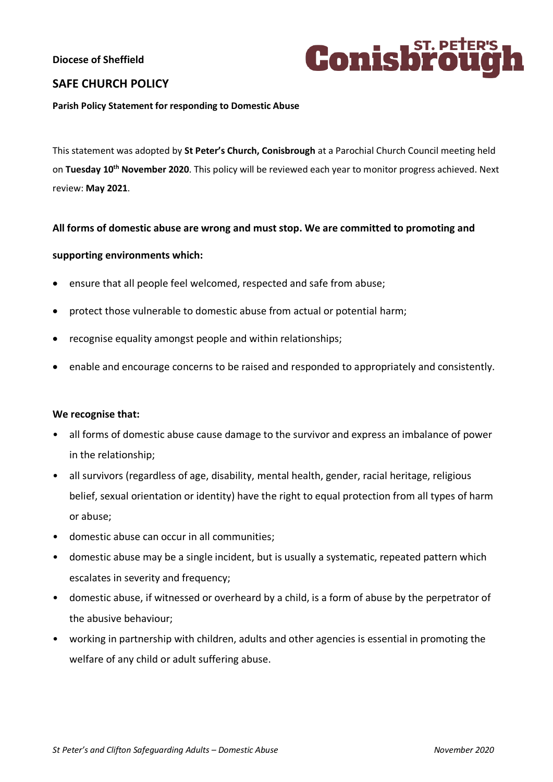# **Diocese of Sheffield**



# **SAFE CHURCH POLICY**

#### **Parish Policy Statement for responding to Domestic Abuse**

This statement was adopted by **St Peter's Church, Conisbrough** at a Parochial Church Council meeting held on **Tuesday 10 th November 2020**. This policy will be reviewed each year to monitor progress achieved. Next review: **May 2021**.

### **All forms of domestic abuse are wrong and must stop. We are committed to promoting and**

### **supporting environments which:**

- ensure that all people feel welcomed, respected and safe from abuse;
- protect those vulnerable to domestic abuse from actual or potential harm;
- recognise equality amongst people and within relationships;
- enable and encourage concerns to be raised and responded to appropriately and consistently.

### **We recognise that:**

- all forms of domestic abuse cause damage to the survivor and express an imbalance of power in the relationship;
- all survivors (regardless of age, disability, mental health, gender, racial heritage, religious belief, sexual orientation or identity) have the right to equal protection from all types of harm or abuse;
- domestic abuse can occur in all communities;
- domestic abuse may be a single incident, but is usually a systematic, repeated pattern which escalates in severity and frequency;
- domestic abuse, if witnessed or overheard by a child, is a form of abuse by the perpetrator of the abusive behaviour;
- working in partnership with children, adults and other agencies is essential in promoting the welfare of any child or adult suffering abuse.